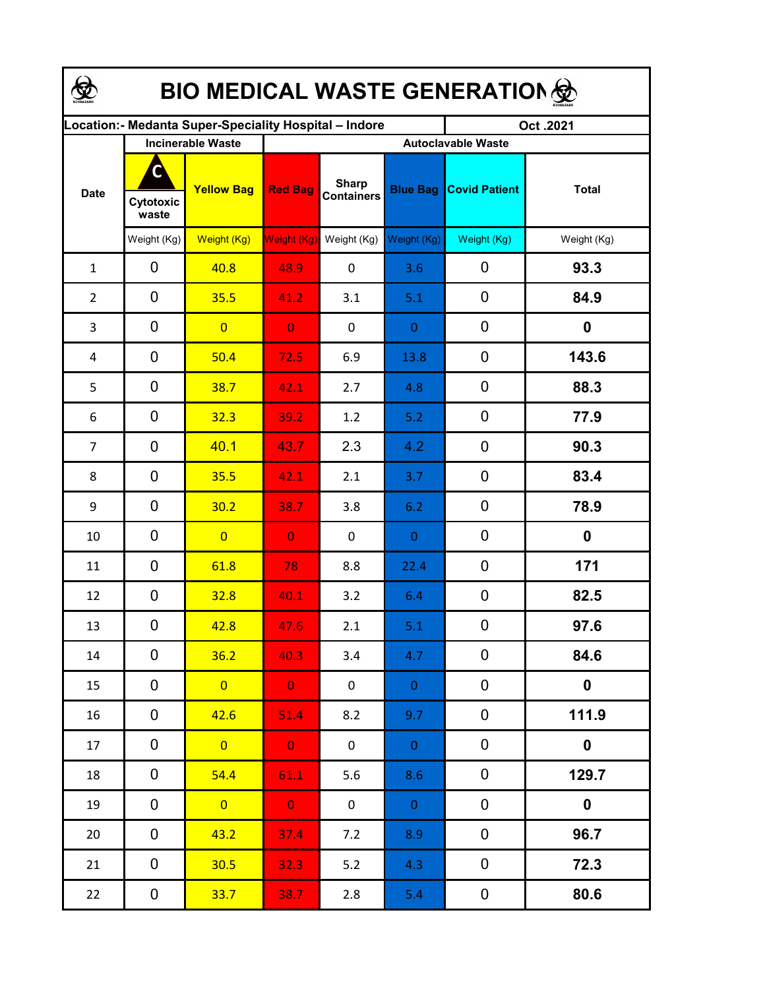| <b>BIO MEDICAL WASTE GENERATION </b>                  |                          |                   |                           |                                   |                 |                      |                  |  |  |  |
|-------------------------------------------------------|--------------------------|-------------------|---------------------------|-----------------------------------|-----------------|----------------------|------------------|--|--|--|
| ocation: - Medanta Super-Speciality Hospital - Indore |                          |                   |                           |                                   |                 | Oct.2021             |                  |  |  |  |
|                                                       | <b>Incinerable Waste</b> |                   | <b>Autoclavable Waste</b> |                                   |                 |                      |                  |  |  |  |
| <b>Date</b>                                           | C<br>Cytotoxic<br>waste  | <b>Yellow Bag</b> | <b>Red Bag</b>            | <b>Sharp</b><br><b>Containers</b> | <b>Blue Bag</b> | <b>Covid Patient</b> | <b>Total</b>     |  |  |  |
|                                                       | Weight (Kg)              | Weight (Kg)       | Weight (Kg)               | Weight (Kg)                       | Weight (Kg)     | Weight (Kg)          | Weight (Kg)      |  |  |  |
| $\mathbf{1}$                                          | 0                        | 40.8              | 48.9                      | $\pmb{0}$                         | 3.6             | 0                    | 93.3             |  |  |  |
| $\overline{2}$                                        | 0                        | 35.5              | 41.2                      | 3.1                               | 5.1             | $\mathbf 0$          | 84.9             |  |  |  |
| 3                                                     | 0                        | $\overline{0}$    | $\overline{0}$            | $\pmb{0}$                         | $\mathbf{0}$    | 0                    | $\boldsymbol{0}$ |  |  |  |
| 4                                                     | 0                        | 50.4              | 72.5                      | 6.9                               | 13.8            | 0                    | 143.6            |  |  |  |
| 5                                                     | $\mathbf 0$              | 38.7              | 42.1                      | 2.7                               | 4.8             | 0                    | 88.3             |  |  |  |
| 6                                                     | $\mathbf 0$              | 32.3              | 39.2                      | 1.2                               | 5.2             | 0                    | 77.9             |  |  |  |
| $\overline{7}$                                        | $\mathbf 0$              | 40.1              | 43.7                      | 2.3                               | 4.2             | $\boldsymbol{0}$     | 90.3             |  |  |  |
| 8                                                     | 0                        | 35.5              | 42.1                      | 2.1                               | 3.7             | $\mathbf 0$          | 83.4             |  |  |  |
| 9                                                     | 0                        | 30.2              | 38.7                      | 3.8                               | 6.2             | $\mathbf 0$          | 78.9             |  |  |  |
| 10                                                    | 0                        | $\overline{0}$    | $\overline{0}$            | 0                                 | $\overline{0}$  | $\mathbf 0$          | 0                |  |  |  |
| 11                                                    | 0                        | 61.8              | 78                        | 8.8                               | 22.4            | $\mathbf 0$          | 171              |  |  |  |
| 12                                                    | $\mathbf 0$              | 32.8              | 40.1                      | 3.2                               | 6.4             | $\boldsymbol{0}$     | 82.5             |  |  |  |
| 13                                                    | 0                        | 42.8              | 47.6                      | 2.1                               | 5.1             | $\mathbf 0$          | 97.6             |  |  |  |
| 14                                                    | 0                        | 36.2              | 40.3                      | 3.4                               | 4.7             | 0                    | 84.6             |  |  |  |
| 15                                                    | 0                        | $\overline{0}$    | $\mathbf{0}$              | $\mathbf 0$                       | $\overline{0}$  | 0                    | $\mathbf 0$      |  |  |  |
| 16                                                    | 0                        | 42.6              | 51.4                      | 8.2                               | 9.7             | $\pmb{0}$            | 111.9            |  |  |  |
| 17                                                    | 0                        | $\overline{0}$    | $\mathbf{0}$              | $\mathbf 0$                       | $\overline{0}$  | $\pmb{0}$            | $\mathbf 0$      |  |  |  |
| 18                                                    | 0                        | 54.4              | 61.1                      | 5.6                               | 8.6             | 0                    | 129.7            |  |  |  |
| 19                                                    | 0                        | $\overline{0}$    | $\mathbf{0}$              | $\mathbf 0$                       | $\overline{0}$  | $\mathbf 0$          | $\mathbf 0$      |  |  |  |
| 20                                                    | 0                        | 43.2              | 37.4                      | 7.2                               | 8.9             | $\mathbf 0$          | 96.7             |  |  |  |
| 21                                                    | 0                        | 30.5              | 32.3                      | 5.2                               | 4.3             | $\pmb{0}$            | 72.3             |  |  |  |
| 22                                                    | $\boldsymbol{0}$         | 33.7              | 38.7                      | $2.8$                             | 5.4             | $\pmb{0}$            | 80.6             |  |  |  |